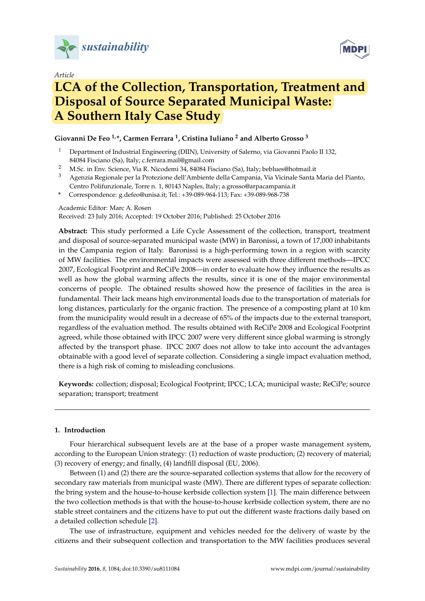

*Article*



# **LCA of the Collection, Transportation, Treatment and Disposal of Source Separated Municipal Waste: A Southern Italy Case Study**

## **Giovanni De Feo 1,\*, Carmen Ferrara <sup>1</sup> , Cristina Iuliano <sup>2</sup> and Alberto Grosso <sup>3</sup>**

- <sup>1</sup> Department of Industrial Engineering (DIIN), University of Salerno, via Giovanni Paolo II 132, 84084 Fisciano (Sa), Italy; c.ferrara.mail@gmail.com
- <sup>2</sup> M.Sc. in Env. Science, Via R. Nicodemi 34, 84084 Fisciano (Sa), Italy; beblues@hotmail.it
- <sup>3</sup> Agenzia Regionale per la Protezione dell'Ambiente della Campania, Via Vicinale Santa Maria del Pianto, Centro Polifunzionale, Torre n. 1, 80143 Naples, Italy; a.grosso@arpacampania.it
- **\*** Correspondence: g.defeo@unisa.it; Tel.: +39-089-964-113; Fax: +39-089-968-738

### Academic Editor: Marc A. Rosen

Received: 23 July 2016; Accepted: 19 October 2016; Published: 25 October 2016

**Abstract:** This study performed a Life Cycle Assessment of the collection, transport, treatment and disposal of source-separated municipal waste (MW) in Baronissi, a town of 17,000 inhabitants in the Campania region of Italy. Baronissi is a high-performing town in a region with scarcity of MW facilities. The environmental impacts were assessed with three different methods—IPCC 2007, Ecological Footprint and ReCiPe 2008—in order to evaluate how they influence the results as well as how the global warming affects the results, since it is one of the major environmental concerns of people. The obtained results showed how the presence of facilities in the area is fundamental. Their lack means high environmental loads due to the transportation of materials for long distances, particularly for the organic fraction. The presence of a composting plant at 10 km from the municipality would result in a decrease of 65% of the impacts due to the external transport, regardless of the evaluation method. The results obtained with ReCiPe 2008 and Ecological Footprint agreed, while those obtained with IPCC 2007 were very different since global warming is strongly affected by the transport phase. IPCC 2007 does not allow to take into account the advantages obtainable with a good level of separate collection. Considering a single impact evaluation method, there is a high risk of coming to misleading conclusions.

**Keywords:** collection; disposal; Ecological Footprint; IPCC; LCA; municipal waste; ReCiPe; source separation; transport; treatment

### **1. Introduction**

Four hierarchical subsequent levels are at the base of a proper waste management system, according to the European Union strategy: (1) reduction of waste production; (2) recovery of material; (3) recovery of energy; and finally, (4) landfill disposal (EU, 2006).

Between (1) and (2) there are the source-separated collection systems that allow for the recovery of secondary raw materials from municipal waste (MW). There are different types of separate collection: the bring system and the house-to-house kerbside collection system [\[1\]](#page-11-0). The main difference between the two collection methods is that with the house-to-house kerbside collection system, there are no stable street containers and the citizens have to put out the different waste fractions daily based on a detailed collection schedule [\[2\]](#page-11-1).

The use of infrastructure, equipment and vehicles needed for the delivery of waste by the citizens and their subsequent collection and transportation to the MW facilities produces several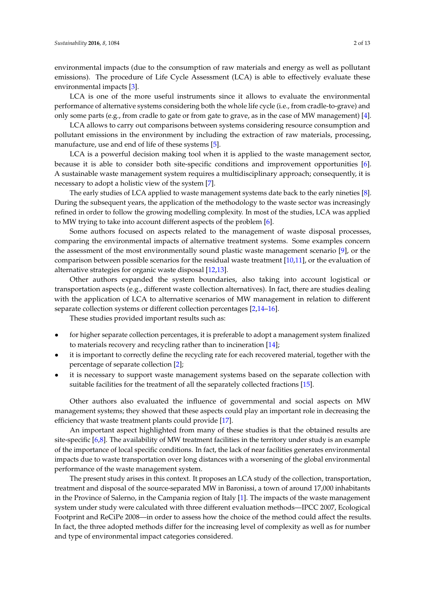environmental impacts (due to the consumption of raw materials and energy as well as pollutant emissions). The procedure of Life Cycle Assessment (LCA) is able to effectively evaluate these environmental impacts [\[3\]](#page-11-2).

LCA is one of the more useful instruments since it allows to evaluate the environmental performance of alternative systems considering both the whole life cycle (i.e., from cradle-to-grave) and only some parts (e.g., from cradle to gate or from gate to grave, as in the case of MW management) [\[4\]](#page-11-3).

LCA allows to carry out comparisons between systems considering resource consumption and pollutant emissions in the environment by including the extraction of raw materials, processing, manufacture, use and end of life of these systems [\[5\]](#page-11-4).

LCA is a powerful decision making tool when it is applied to the waste management sector, because it is able to consider both site-specific conditions and improvement opportunities [\[6\]](#page-11-5). A sustainable waste management system requires a multidisciplinary approach; consequently, it is necessary to adopt a holistic view of the system [\[7\]](#page-11-6).

The early studies of LCA applied to waste management systems date back to the early nineties [\[8\]](#page-11-7). During the subsequent years, the application of the methodology to the waste sector was increasingly refined in order to follow the growing modelling complexity. In most of the studies, LCA was applied to MW trying to take into account different aspects of the problem [\[6\]](#page-11-5).

Some authors focused on aspects related to the management of waste disposal processes, comparing the environmental impacts of alternative treatment systems. Some examples concern the assessment of the most environmentally sound plastic waste management scenario [\[9\]](#page-11-8), or the comparison between possible scenarios for the residual waste treatment [\[10,](#page-11-9)[11\]](#page-11-10), or the evaluation of alternative strategies for organic waste disposal [\[12,](#page-11-11)[13\]](#page-12-0).

Other authors expanded the system boundaries, also taking into account logistical or transportation aspects (e.g., different waste collection alternatives). In fact, there are studies dealing with the application of LCA to alternative scenarios of MW management in relation to different separate collection systems or different collection percentages [\[2,](#page-11-1)[14–](#page-12-1)[16\]](#page-12-2).

These studies provided important results such as:

- for higher separate collection percentages, it is preferable to adopt a management system finalized to materials recovery and recycling rather than to incineration [\[14\]](#page-12-1);
- it is important to correctly define the recycling rate for each recovered material, together with the percentage of separate collection [\[2\]](#page-11-1);
- it is necessary to support waste management systems based on the separate collection with suitable facilities for the treatment of all the separately collected fractions [\[15\]](#page-12-3).

Other authors also evaluated the influence of governmental and social aspects on MW management systems; they showed that these aspects could play an important role in decreasing the efficiency that waste treatment plants could provide [\[17\]](#page-12-4).

An important aspect highlighted from many of these studies is that the obtained results are site-specific [\[6](#page-11-5)[,8\]](#page-11-7). The availability of MW treatment facilities in the territory under study is an example of the importance of local specific conditions. In fact, the lack of near facilities generates environmental impacts due to waste transportation over long distances with a worsening of the global environmental performance of the waste management system.

The present study arises in this context. It proposes an LCA study of the collection, transportation, treatment and disposal of the source-separated MW in Baronissi, a town of around 17,000 inhabitants in the Province of Salerno, in the Campania region of Italy [\[1\]](#page-11-0). The impacts of the waste management system under study were calculated with three different evaluation methods—IPCC 2007, Ecological Footprint and ReCiPe 2008—in order to assess how the choice of the method could affect the results. In fact, the three adopted methods differ for the increasing level of complexity as well as for number and type of environmental impact categories considered.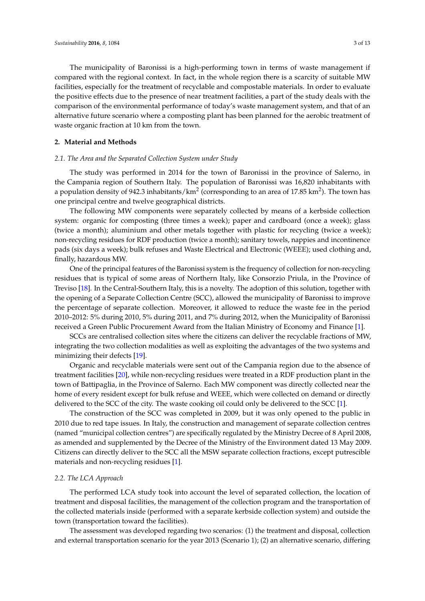The municipality of Baronissi is a high-performing town in terms of waste management if compared with the regional context. In fact, in the whole region there is a scarcity of suitable MW facilities, especially for the treatment of recyclable and compostable materials. In order to evaluate the positive effects due to the presence of near treatment facilities, a part of the study deals with the comparison of the environmental performance of today's waste management system, and that of an alternative future scenario where a composting plant has been planned for the aerobic treatment of waste organic fraction at 10 km from the town.

#### **2. Material and Methods**

#### *2.1. The Area and the Separated Collection System under Study*

The study was performed in 2014 for the town of Baronissi in the province of Salerno, in the Campania region of Southern Italy. The population of Baronissi was 16,820 inhabitants with a population density of 942.3 inhabitants/km<sup>2</sup> (corresponding to an area of 17.85 km<sup>2</sup>). The town has one principal centre and twelve geographical districts.

The following MW components were separately collected by means of a kerbside collection system: organic for composting (three times a week); paper and cardboard (once a week); glass (twice a month); aluminium and other metals together with plastic for recycling (twice a week); non-recycling residues for RDF production (twice a month); sanitary towels, nappies and incontinence pads (six days a week); bulk refuses and Waste Electrical and Electronic (WEEE); used clothing and, finally, hazardous MW.

One of the principal features of the Baronissi system is the frequency of collection for non-recycling residues that is typical of some areas of Northern Italy, like Consorzio Priula, in the Province of Treviso [\[18\]](#page-12-5). In the Central-Southern Italy, this is a novelty. The adoption of this solution, together with the opening of a Separate Collection Centre (SCC), allowed the municipality of Baronissi to improve the percentage of separate collection. Moreover, it allowed to reduce the waste fee in the period 2010–2012: 5% during 2010, 5% during 2011, and 7% during 2012, when the Municipality of Baronissi received a Green Public Procurement Award from the Italian Ministry of Economy and Finance [\[1\]](#page-11-0).

SCCs are centralised collection sites where the citizens can deliver the recyclable fractions of MW, integrating the two collection modalities as well as exploiting the advantages of the two systems and minimizing their defects [\[19\]](#page-12-6).

Organic and recyclable materials were sent out of the Campania region due to the absence of treatment facilities [\[20\]](#page-12-7), while non-recycling residues were treated in a RDF production plant in the town of Battipaglia, in the Province of Salerno. Each MW component was directly collected near the home of every resident except for bulk refuse and WEEE, which were collected on demand or directly delivered to the SCC of the city. The waste cooking oil could only be delivered to the SCC [\[1\]](#page-11-0).

The construction of the SCC was completed in 2009, but it was only opened to the public in 2010 due to red tape issues. In Italy, the construction and management of separate collection centres (named "municipal collection centres") are specifically regulated by the Ministry Decree of 8 April 2008, as amended and supplemented by the Decree of the Ministry of the Environment dated 13 May 2009. Citizens can directly deliver to the SCC all the MSW separate collection fractions, except putrescible materials and non-recycling residues [\[1\]](#page-11-0).

#### *2.2. The LCA Approach*

The performed LCA study took into account the level of separated collection, the location of treatment and disposal facilities, the management of the collection program and the transportation of the collected materials inside (performed with a separate kerbside collection system) and outside the town (transportation toward the facilities).

The assessment was developed regarding two scenarios: (1) the treatment and disposal, collection and external transportation scenario for the year 2013 (Scenario 1); (2) an alternative scenario, differing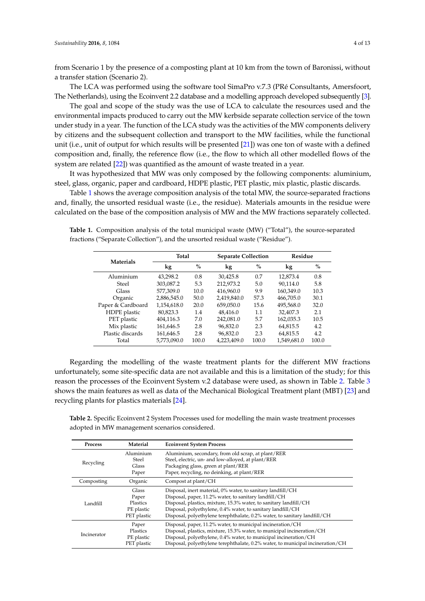from Scenario 1 by the presence of a composting plant at 10 km from the town of Baronissi, without a transfer station (Scenario 2).

The LCA was performed using the software tool SimaPro v.7.3 (PRé Consultants, Amersfoort, The Netherlands), using the Ecoinvent 2.2 database and a modelling approach developed subsequently [\[3\]](#page-11-2).

The goal and scope of the study was the use of LCA to calculate the resources used and the environmental impacts produced to carry out the MW kerbside separate collection service of the town under study in a year. The function of the LCA study was the activities of the MW components delivery by citizens and the subsequent collection and transport to the MW facilities, while the functional unit (i.e., unit of output for which results will be presented [\[21\]](#page-12-8)) was one ton of waste with a defined composition and, finally, the reference flow (i.e., the flow to which all other modelled flows of the system are related [\[22\]](#page-12-9)) was quantified as the amount of waste treated in a year.

It was hypothesized that MW was only composed by the following components: aluminium, steel, glass, organic, paper and cardboard, HDPE plastic, PET plastic, mix plastic, plastic discards.

Table [1](#page-3-0) shows the average composition analysis of the total MW, the source-separated fractions and, finally, the unsorted residual waste (i.e., the residue). Materials amounts in the residue were calculated on the base of the composition analysis of MW and the MW fractions separately collected.

<span id="page-3-0"></span>**Table 1.** Composition analysis of the total municipal waste (MW) ("Total"), the source-separated fractions ("Separate Collection"), and the unsorted residual waste ("Residue").

|                   | Total       |       | <b>Separate Collection</b> |               | Residue     |       |  |
|-------------------|-------------|-------|----------------------------|---------------|-------------|-------|--|
| <b>Materials</b>  | kg          | $\%$  | kg                         | $\frac{0}{0}$ | kg          | $\%$  |  |
| Aluminium         | 43,298.2    | 0.8   | 30.425.8                   | 0.7           | 12,873.4    | 0.8   |  |
| Steel             | 303,087.2   | 5.3   | 212,973.2                  | 5.0           | 90,114.0    | 5.8   |  |
| Glass             | 577,309.0   | 10.0  | 416,960.0                  | 9.9           | 160,349.0   | 10.3  |  |
| Organic           | 2,886,545.0 | 50.0  | 2,419,840.0                | 57.3          | 466,705.0   | 30.1  |  |
| Paper & Cardboard | 1,154,618.0 | 20.0  | 659,050.0                  | 15.6          | 495,568.0   | 32.0  |  |
| HDPE plastic      | 80.823.3    | 1.4   | 48.416.0                   | 1.1           | 32.407.3    | 2.1   |  |
| PET plastic       | 404,116.3   | 7.0   | 242,081.0                  | 5.7           | 162,035.3   | 10.5  |  |
| Mix plastic       | 161,646.5   | 2.8   | 96,832.0                   | 2.3           | 64,815.5    | 4.2   |  |
| Plastic discards  | 161,646.5   | 2.8   | 96,832.0                   | 2.3           | 64,815.5    | 4.2   |  |
| Total             | 5,773,090.0 | 100.0 | 4,223,409.0                | 100.0         | 1,549,681.0 | 100.0 |  |

Regarding the modelling of the waste treatment plants for the different MW fractions unfortunately, some site-specific data are not available and this is a limitation of the study; for this reason the processes of the Ecoinvent System v.2 database were used, as shown in Table [2.](#page-3-1) Table [3](#page-4-0) shows the main features as well as data of the Mechanical Biological Treatment plant (MBT) [\[23\]](#page-12-10) and recycling plants for plastics materials [\[24\]](#page-12-11).

<span id="page-3-1"></span>**Table 2.** Specific Ecoinvent 2 System Processes used for modelling the main waste treatment processes adopted in MW management scenarios considered.

| Process     | Material    | <b>Ecoinvent System Process</b>                                                |
|-------------|-------------|--------------------------------------------------------------------------------|
|             | Aluminium   | Aluminium, secondary, from old scrap, at plant/RER                             |
|             | Steel       | Steel, electric, un- and low-alloyed, at plant/RER                             |
| Recycling   | Glass       | Packaging glass, green at plant/RER                                            |
|             | Paper       | Paper, recycling, no deinking, at plant/RER                                    |
| Composting  | Organic     | Compost at plant/CH                                                            |
|             | Glass       | Disposal, inert material, 0% water, to sanitary landfill/CH                    |
|             | Paper       | Disposal, paper, 11.2% water, to sanitary landfill/CH                          |
| Landfill    | Plastics    | Disposal, plastics, mixture, 15.3% water, to sanitary landfill/CH              |
|             | PE plastic  | Disposal, polyethylene, 0.4% water, to sanitary landfill/CH                    |
|             | PET plastic | Disposal, polyethylene terephthalate, 0.2% water, to sanitary landfill/CH      |
|             | Paper       | Disposal, paper, 11.2% water, to municipal incineration/CH                     |
| Incinerator | Plastics    | Disposal, plastics, mixture, 15.3% water, to municipal incineration/CH         |
|             | PE plastic  | Disposal, polyethylene, 0.4% water, to municipal incineration/CH               |
|             | PET plastic | Disposal, polyethylene terephthalate, 0.2% water, to municipal incineration/CH |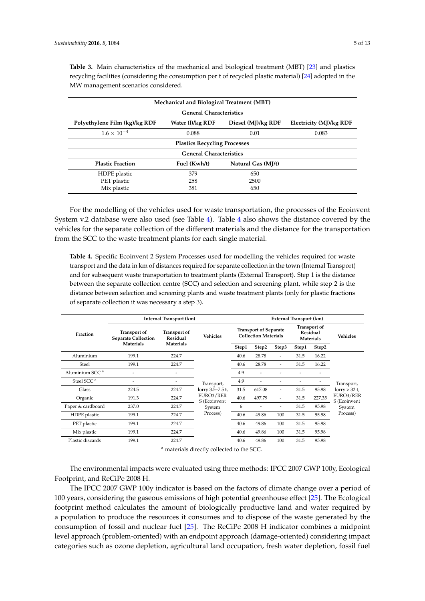| Mechanical and Biological Treatment (MBT)                                                          |                                    |      |       |  |  |  |  |  |  |
|----------------------------------------------------------------------------------------------------|------------------------------------|------|-------|--|--|--|--|--|--|
| <b>General Characteristics</b>                                                                     |                                    |      |       |  |  |  |  |  |  |
| Polyethylene Film (kg)/kg RDF<br>Water (1)/kg RDF<br>Diesel (MJ)/kg RDF<br>Electricity (MJ)/kg RDF |                                    |      |       |  |  |  |  |  |  |
| $1.6 \times 10^{-4}$                                                                               | 0.088                              | 0.01 | 0.083 |  |  |  |  |  |  |
| <b>Plastics Recycling Processes</b>                                                                |                                    |      |       |  |  |  |  |  |  |
|                                                                                                    | <b>General Characteristics</b>     |      |       |  |  |  |  |  |  |
| <b>Plastic Fraction</b>                                                                            | Fuel (Kwh/t)<br>Natural Gas (MJ/t) |      |       |  |  |  |  |  |  |
| HDPE plastic                                                                                       | 379                                | 650  |       |  |  |  |  |  |  |
| PET plastic                                                                                        | 258                                | 2500 |       |  |  |  |  |  |  |
| Mix plastic                                                                                        | 381                                | 650  |       |  |  |  |  |  |  |

<span id="page-4-0"></span>**Table 3.** Main characteristics of the mechanical and biological treatment (MBT) [\[23\]](#page-12-10) and plastics recycling facilities (considering the consumption per t of recycled plastic material) [\[24\]](#page-12-11) adopted in the MW management scenarios considered.

For the modelling of the vehicles used for waste transportation, the processes of the Ecoinvent System v.2 database were also used (see Table [4\)](#page-4-1). Table [4](#page-4-1) also shows the distance covered by the vehicles for the separate collection of the different materials and the distance for the transportation from the SCC to the waste treatment plants for each single material.

<span id="page-4-1"></span>**Table 4.** Specific Ecoinvent 2 System Processes used for modelling the vehicles required for waste transport and the data in km of distances required for separate collection in the town (Internal Transport) and for subsequent waste transportation to treatment plants (External Transport). Step 1 is the distance between the separate collection centre (SCC) and selection and screening plant, while step 2 is the distance between selection and screening plants and waste treatment plants (only for plastic fractions of separate collection it was necessary a step 3).

|                            | Internal Transport (km)                           |                                                     |                           |                                                             | External Transport (km) |                          |                                                     |        |                           |  |
|----------------------------|---------------------------------------------------|-----------------------------------------------------|---------------------------|-------------------------------------------------------------|-------------------------|--------------------------|-----------------------------------------------------|--------|---------------------------|--|
| Fraction                   | <b>Transport of</b><br><b>Separate Collection</b> | <b>Transport of</b><br>Residual<br><b>Materials</b> | <b>Vehicles</b>           | <b>Transport of Separate</b><br><b>Collection Materials</b> |                         |                          | <b>Transport of</b><br><b>Residual</b><br>Materials |        | <b>Vehicles</b>           |  |
|                            | <b>Materials</b>                                  |                                                     |                           | Step1                                                       | Step2                   | Step3                    | Step1                                               | Step2  |                           |  |
| Aluminium                  | 199.1                                             | 224.7                                               |                           | 40.6                                                        | 28.78                   | ٠                        | 31.5                                                | 16.22  |                           |  |
| Steel                      | 199.1                                             | 224.7                                               | Transport,                | 40.6                                                        | 28.78                   | -                        | 31.5                                                | 16.22  |                           |  |
| Aluminium SCC <sup>a</sup> |                                                   | ٠                                                   |                           | 4.9                                                         |                         |                          |                                                     |        |                           |  |
| Steel SCC <sup>a</sup>     | ۰                                                 | ٠                                                   |                           | 4.9                                                         |                         |                          |                                                     |        | Transport,                |  |
| Glass                      | 224.5                                             | 224.7                                               | lorry 3.5–7.5 t,          | 31.5                                                        | 617.08                  | $\overline{\phantom{a}}$ | 31.5                                                | 95.98  | $lorty > 32$ t,           |  |
| Organic                    | 191.3                                             | 224.7                                               | EURO3/RER<br>S (Ecoinvent | 40.6                                                        | 497.79                  | ٠                        | 31.5                                                | 227.35 | EURO3/RER<br>S (Ecoinvent |  |
| Paper & cardboard          | 237.0                                             | 224.7                                               | System                    | 6                                                           |                         | $\overline{\phantom{a}}$ | 31.5                                                | 95.98  | System                    |  |
| HDPE plastic               | 199.1                                             | 224.7                                               | Process)                  | 40.6                                                        | 49.86                   | 100                      | 31.5                                                | 95.98  | Process)                  |  |
| PET plastic                | 199.1                                             | 224.7                                               |                           | 40.6                                                        | 49.86                   | 100                      | 31.5                                                | 95.98  |                           |  |
| Mix plastic                | 199.1                                             | 224.7                                               |                           | 40.6                                                        | 49.86                   | 100                      | 31.5                                                | 95.98  |                           |  |
| Plastic discards           | 199.1                                             | 224.7                                               |                           | 40.6                                                        | 49.86                   | 100                      | 31.5                                                | 95.98  |                           |  |

<sup>a</sup> materials directly collected to the SCC.

The environmental impacts were evaluated using three methods: IPCC 2007 GWP 100y, Ecological Footprint, and ReCiPe 2008 H.

The IPCC 2007 GWP 100y indicator is based on the factors of climate change over a period of 100 years, considering the gaseous emissions of high potential greenhouse effect [\[25\]](#page-12-12). The Ecological footprint method calculates the amount of biologically productive land and water required by a population to produce the resources it consumes and to dispose of the waste generated by the consumption of fossil and nuclear fuel [\[25\]](#page-12-12). The ReCiPe 2008 H indicator combines a midpoint level approach (problem-oriented) with an endpoint approach (damage-oriented) considering impact categories such as ozone depletion, agricultural land occupation, fresh water depletion, fossil fuel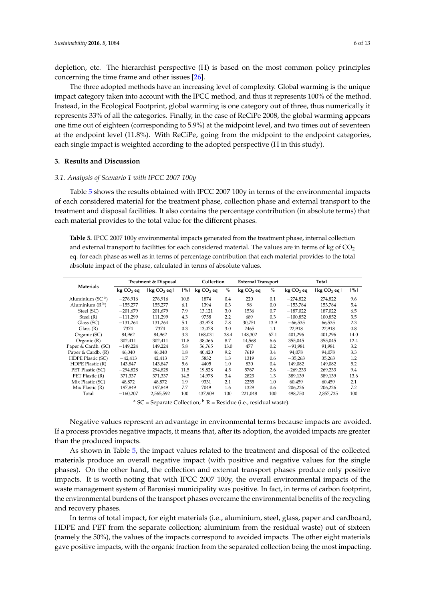depletion, etc. The hierarchist perspective (H) is based on the most common policy principles concerning the time frame and other issues [\[26\]](#page-12-13).

The three adopted methods have an increasing level of complexity. Global warming is the unique impact category taken into account with the IPCC method, and thus it represents 100% of the method. Instead, in the Ecological Footprint, global warming is one category out of three, thus numerically it represents 33% of all the categories. Finally, in the case of ReCiPe 2008, the global warming appears one time out of eighteen (corresponding to 5.9%) at the midpoint level, and two times out of seventeen at the endpoint level (11.8%). With ReCiPe, going from the midpoint to the endpoint categories, each single impact is weighted according to the adopted perspective (H in this study).

#### **3. Results and Discussion**

#### *3.1. Analysis of Scenario 1 with IPCC 2007 100y*

Table [5](#page-5-0) shows the results obtained with IPCC 2007 100y in terms of the environmental impacts of each considered material for the treatment phase, collection phase and external transport to the treatment and disposal facilities. It also contains the percentage contribution (in absolute terms) that each material provides to the total value for the different phases.

<span id="page-5-0"></span>**Table 5.** IPCC 2007 100y environmental impacts generated from the treatment phase, internal collection and external transport to facilities for each considered material. The values are in terms of kg of  $CO<sub>2</sub>$ eq. for each phase as well as in terms of percentage contribution that each material provides to the total absolute impact of the phase, calculated in terms of absolute values.

| Materials           |                       | Treatment & Disposal |               |            | Collection |                       | <b>External Transport</b> |                       | Total                   |               |  |
|---------------------|-----------------------|----------------------|---------------|------------|------------|-----------------------|---------------------------|-----------------------|-------------------------|---------------|--|
|                     | kg CO <sub>2</sub> eq | $\log CO_2$ eq $\ln$ | $\frac{9}{6}$ | $kgCO2$ eq | $\%$       | kg CO <sub>2</sub> eq | $\%$                      | kg CO <sub>2</sub> eq | lkg CO <sub>2</sub> eql | $\frac{9}{6}$ |  |
| Aluminium (SC $a$ ) | $-276,916$            | 276,916              | 10.8          | 1874       | 0.4        | 220                   | 0.1                       | $-274,822$            | 274,822                 | 9.6           |  |
| Aluminium $(R^b)$   | $-155,277$            | 155,277              | 6.1           | 1394       | 0.3        | 98                    | 0.0                       | $-153,784$            | 153,784                 | 5.4           |  |
| Steel (SC)          | $-201,679$            | 201,679              | 7.9           | 13,121     | 3.0        | 1536                  | 0.7                       | $-187,022$            | 187,022                 | 6.5           |  |
| Steel (R)           | $-111,299$            | 111,299              | 4.3           | 9758       | 2.2        | 689                   | 0.3                       | $-100,852$            | 100,852                 | 3.5           |  |
| Glass (SC)          | $-131,264$            | 131,264              | 5.1           | 33.978     | 7.8        | 30,751                | 13.9                      | $-66,535$             | 66,535                  | 2.3           |  |
| Class(R)            | 7374                  | 7374                 | 0.3           | 13,078     | 3.0        | 2465                  | 1.1                       | 22,918                | 22,918                  | 0.8           |  |
| Organic (SC)        | 84,962                | 84,962               | 3.3           | 168,031    | 38.4       | 148,302               | 67.1                      | 401,296               | 401,296                 | 14.0          |  |
| Organic $(R)$       | 302,411               | 302,411              | 11.8          | 38.066     | 8.7        | 14,568                | 6.6                       | 355,045               | 355,045                 | 12.4          |  |
| Paper & Cardb. (SC) | $-149,224$            | 149,224              | 5.8           | 56,765     | 13.0       | 477                   | 0.2                       | $-91,981$             | 91,981                  | 3.2           |  |
| Paper & Cardb. (R)  | 46,040                | 46,040               | 1.8           | 40,420     | 9.2        | 7619                  | 3.4                       | 94,078                | 94,078                  | 3.3           |  |
| HDPE Plastic (SC)   | $-42,413$             | 42,413               | 1.7           | 5832       | 1.3        | 1319                  | 0.6                       | $-35,263$             | 35,263                  | 1.2           |  |
| HDPE Plastic (R)    | 143,847               | 143,847              | 5.6           | 4405       | 1.0        | 830                   | 0.4                       | 149.082               | 149,082                 | 5.2           |  |
| PET Plastic (SC)    | $-294,828$            | 294,828              | 11.5          | 19,828     | 4.5        | 5767                  | 2.6                       | $-269,233$            | 269,233                 | 9.4           |  |
| PET Plastic (R)     | 371,337               | 371,337              | 14.5          | 14.978     | 3.4        | 2823                  | 1.3                       | 389,139               | 389,139                 | 13.6          |  |
| Mix Plastic (SC)    | 48.872                | 48.872               | 1.9           | 9331       | 2.1        | 2255                  | 1.0                       | 60,459                | 60.459                  | 2.1           |  |
| Mix Plastic (R)     | 197,849               | 197,849              | 7.7           | 7049       | 1.6        | 1329                  | 0.6                       | 206,226               | 206,226                 | 7.2           |  |
| Total               | $-160,207$            | 2,565,592            | 100           | 437,909    | 100        | 221,048               | 100                       | 498,750               | 2,857,735               | 100           |  |

<sup>a</sup> SC = Separate Collection;  $\frac{b}{b}$  R = Residue (i.e., residual waste).

Negative values represent an advantage in environmental terms because impacts are avoided. If a process provides negative impacts, it means that, after its adoption, the avoided impacts are greater than the produced impacts.

As shown in Table [5,](#page-5-0) the impact values related to the treatment and disposal of the collected materials produce an overall negative impact (with positive and negative values for the single phases). On the other hand, the collection and external transport phases produce only positive impacts. It is worth noting that with IPCC 2007 100y, the overall environmental impacts of the waste management system of Baronissi municipality was positive. In fact, in terms of carbon footprint, the environmental burdens of the transport phases overcame the environmental benefits of the recycling and recovery phases.

In terms of total impact, for eight materials (i.e., aluminium, steel, glass, paper and cardboard, HDPE and PET from the separate collection; aluminium from the residual waste) out of sixteen (namely the 50%), the values of the impacts correspond to avoided impacts. The other eight materials gave positive impacts, with the organic fraction from the separated collection being the most impacting.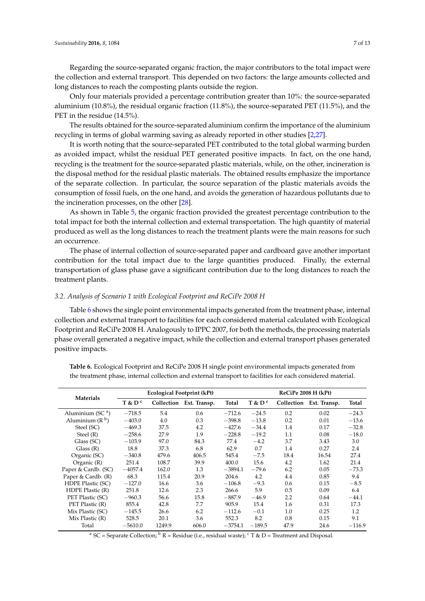Regarding the source-separated organic fraction, the major contributors to the total impact were the collection and external transport. This depended on two factors: the large amounts collected and long distances to reach the composting plants outside the region.

Only four materials provided a percentage contribution greater than 10%: the source-separated aluminium (10.8%), the residual organic fraction (11.8%), the source-separated PET (11.5%), and the PET in the residue (14.5%).

The results obtained for the source-separated aluminium confirm the importance of the aluminium recycling in terms of global warming saving as already reported in other studies [\[2](#page-11-1)[,27\]](#page-12-14).

It is worth noting that the source-separated PET contributed to the total global warming burden as avoided impact, whilst the residual PET generated positive impacts. In fact, on the one hand, recycling is the treatment for the source-separated plastic materials, while, on the other, incineration is the disposal method for the residual plastic materials. The obtained results emphasize the importance of the separate collection. In particular, the source separation of the plastic materials avoids the consumption of fossil fuels, on the one hand, and avoids the generation of hazardous pollutants due to the incineration processes, on the other [\[28\]](#page-12-15).

As shown in Table [5,](#page-5-0) the organic fraction provided the greatest percentage contribution to the total impact for both the internal collection and external transportation. The high quantity of material produced as well as the long distances to reach the treatment plants were the main reasons for such an occurrence.

The phase of internal collection of source-separated paper and cardboard gave another important contribution for the total impact due to the large quantities produced. Finally, the external transportation of glass phase gave a significant contribution due to the long distances to reach the treatment plants.

#### *3.2. Analysis of Scenario 1 with Ecological Footprint and ReCiPe 2008 H*

Table [6](#page-6-0) shows the single point environmental impacts generated from the treatment phase, internal collection and external transport to facilities for each considered material calculated with Ecological Footprint and ReCiPe 2008 H. Analogously to IPPC 2007, for both the methods, the processing materials phase overall generated a negative impact, while the collection and external transport phases generated positive impacts.

|                     |            | Ecological Footprint (kPt) |              | ReCiPe 2008 H (kPt) |            |      |                         |          |
|---------------------|------------|----------------------------|--------------|---------------------|------------|------|-------------------------|----------|
| <b>Materials</b>    | $T$ & $Dc$ | Collection                 | Ext. Transp. | Total               | $T$ & $Dc$ |      | Collection Ext. Transp. | Total    |
| Aluminium (SC $a$ ) | $-718.5$   | 5.4                        | 0.6          | $-712.6$            | $-24.5$    | 0.2  | 0.02                    | $-24.3$  |
| Aluminium $(R^b)$   | $-403.0$   | 4.0                        | 0.3          | $-398.8$            | $-13.8$    | 0.2  | 0.01                    | $-13.6$  |
| Steel (SC)          | $-469.3$   | 37.5                       | 4.2          | $-427.6$            | $-34.4$    | 1.4  | 0.17                    | $-32.8$  |
| Steel $(R)$         | $-258.6$   | 27.9                       | 1.9          | $-228.8$            | $-19.2$    | 1.1  | 0.08                    | $-18.0$  |
| Glass (SC)          | $-103.9$   | 97.0                       | 84.3         | 77.4                | $-4.2$     | 3.7  | 3.43                    | 3.0      |
| Class(R)            | 18.8       | 37.3                       | 6.8          | 62.9                | 0.7        | 1.4  | 0.27                    | 2.4      |
| Organic (SC)        | $-340.8$   | 479.6                      | 406.5        | 545.4               | $-7.5$     | 18.4 | 16.54                   | 27.4     |
| Organic $(R)$       | 251.4      | 108.7                      | 39.9         | 400.0               | 15.6       | 4.2  | 1.62                    | 21.4     |
| Paper & Cardb. (SC) | $-4057.4$  | 162.0                      | 1.3          | $-3894.1$           | $-79.6$    | 6.2  | 0.05                    | $-73.3$  |
| Paper & Cardb. (R)  | 68.3       | 115.4                      | 20.9         | 204.6               | 4.2        | 4.4  | 0.85                    | 9.4      |
| HDPE Plastic (SC)   | $-127.0$   | 16.6                       | 3.6          | $-106.8$            | $-9.3$     | 0.6  | 0.15                    | $-8.5$   |
| HDPE Plastic (R)    | 251.8      | 12.6                       | 2.3          | 266.6               | 5.9        | 0.5  | 0.09                    | 6.4      |
| PET Plastic (SC)    | $-960.3$   | 56.6                       | 15.8         | $-887.9$            | $-46.9$    | 2.2  | 0.64                    | $-44.1$  |
| PET Plastic (R)     | 855.4      | 42.8                       | 7.7          | 905.9               | 15.4       | 1.6  | 0.31                    | 17.3     |
| Mix Plastic (SC)    | $-145.5$   | 26.6                       | 6.2          | $-112.6$            | $-0.1$     | 1.0  | 0.25                    | 1.2      |
| Mix Plastic (R)     | 528.5      | 20.1                       | 3.6          | 552.3               | 8.2        | 0.8  | 0.15                    | 9.1      |
| Total               | $-5610.0$  | 1249.9                     | 606.0        | $-3754.1$           | $-189.5$   | 47.9 | 24.6                    | $-116.9$ |

<span id="page-6-0"></span>**Table 6.** Ecological Footprint and ReCiPe 2008 H single point environmental impacts generated from the treatment phase, internal collection and external transport to facilities for each considered material.

<sup>a</sup> SC = Separate Collection; <sup>b</sup> R = Residue (i.e., residual waste); <sup>c</sup> T & D = Treatment and Disposal.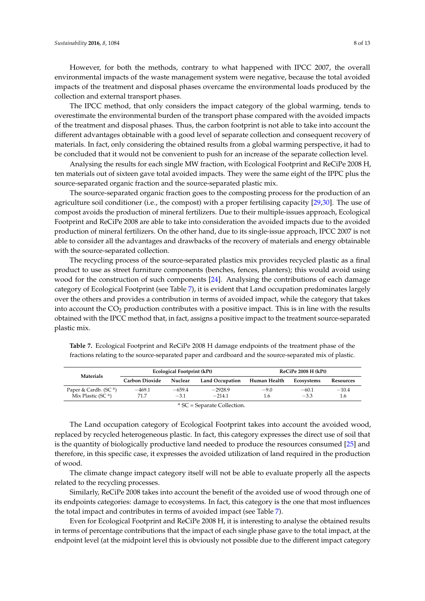However, for both the methods, contrary to what happened with IPCC 2007, the overall environmental impacts of the waste management system were negative, because the total avoided impacts of the treatment and disposal phases overcame the environmental loads produced by the collection and external transport phases.

The IPCC method, that only considers the impact category of the global warming, tends to overestimate the environmental burden of the transport phase compared with the avoided impacts of the treatment and disposal phases. Thus, the carbon footprint is not able to take into account the different advantages obtainable with a good level of separate collection and consequent recovery of materials. In fact, only considering the obtained results from a global warming perspective, it had to be concluded that it would not be convenient to push for an increase of the separate collection level.

Analysing the results for each single MW fraction, with Ecological Footprint and ReCiPe 2008 H, ten materials out of sixteen gave total avoided impacts. They were the same eight of the IPPC plus the source-separated organic fraction and the source-separated plastic mix.

The source-separated organic fraction goes to the composting process for the production of an agriculture soil conditioner (i.e., the compost) with a proper fertilising capacity [\[29](#page-12-16)[,30\]](#page-12-17). The use of compost avoids the production of mineral fertilizers. Due to their multiple-issues approach, Ecological Footprint and ReCiPe 2008 are able to take into consideration the avoided impacts due to the avoided production of mineral fertilizers. On the other hand, due to its single-issue approach, IPCC 2007 is not able to consider all the advantages and drawbacks of the recovery of materials and energy obtainable with the source-separated collection.

The recycling process of the source-separated plastics mix provides recycled plastic as a final product to use as street furniture components (benches, fences, planters); this would avoid using wood for the construction of such components [\[24\]](#page-12-11). Analysing the contributions of each damage category of Ecological Footprint (see Table [7\)](#page-7-0), it is evident that Land occupation predominates largely over the others and provides a contribution in terms of avoided impact, while the category that takes into account the  $CO<sub>2</sub>$  production contributes with a positive impact. This is in line with the results obtained with the IPCC method that, in fact, assigns a positive impact to the treatment source-separated plastic mix.

| <b>Materials</b>                  |                | Ecological Footprint (kPt) |                        | ReCiPe 2008 H (kPt) |            |           |  |
|-----------------------------------|----------------|----------------------------|------------------------|---------------------|------------|-----------|--|
|                                   | Carbon Dioxide | Nuclear                    | <b>Land Occupation</b> | Human Health        | Ecosystems | Resources |  |
| Paper & Cardb. (SC <sup>a</sup> ) | $-469.1$       | $-659.4$                   | $-2928.9$              | $-9.0$              | $-60.1$    | $-10.4$   |  |
| Mix Plastic (SC $a$ )             | 71.7           | $-3.1$                     | $-214.1$               | 1.6                 | $-3.3$     | 1.6       |  |
|                                   |                |                            |                        |                     |            |           |  |

<span id="page-7-0"></span>**Table 7.** Ecological Footprint and ReCiPe 2008 H damage endpoints of the treatment phase of the fractions relating to the source-separated paper and cardboard and the source-separated mix of plastic.

<sup>a</sup> SC = Separate Collection.

The Land occupation category of Ecological Footprint takes into account the avoided wood, replaced by recycled heterogeneous plastic. In fact, this category expresses the direct use of soil that is the quantity of biologically productive land needed to produce the resources consumed [\[25\]](#page-12-12) and therefore, in this specific case, it expresses the avoided utilization of land required in the production of wood.

The climate change impact category itself will not be able to evaluate properly all the aspects related to the recycling processes.

Similarly, ReCiPe 2008 takes into account the benefit of the avoided use of wood through one of its endpoints categories: damage to ecosystems. In fact, this category is the one that most influences the total impact and contributes in terms of avoided impact (see Table [7\)](#page-7-0).

Even for Ecological Footprint and ReCiPe 2008 H, it is interesting to analyse the obtained results in terms of percentage contributions that the impact of each single phase gave to the total impact, at the endpoint level (at the midpoint level this is obviously not possible due to the different impact category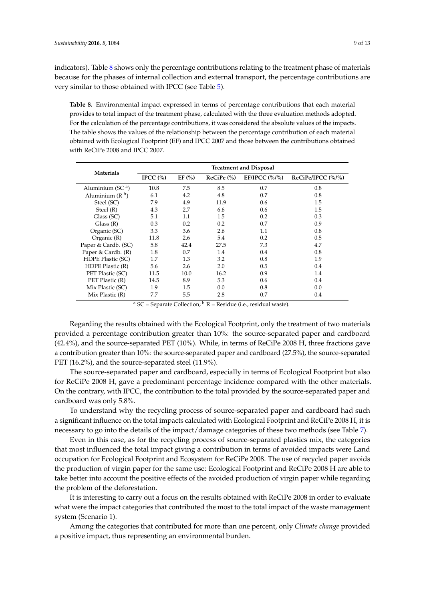indicators). Table [8](#page-8-0) shows only the percentage contributions relating to the treatment phase of materials because for the phases of internal collection and external transport, the percentage contributions are very similar to those obtained with IPCC (see Table [5\)](#page-5-0).

<span id="page-8-0"></span>**Table 8.** Environmental impact expressed in terms of percentage contributions that each material provides to total impact of the treatment phase, calculated with the three evaluation methods adopted. For the calculation of the percentage contributions, it was considered the absolute values of the impacts. The table shows the values of the relationship between the percentage contribution of each material obtained with Ecological Footprint (EF) and IPCC 2007 and those between the contributions obtained with ReCiPe 2008 and IPCC 2007.

| <b>Materials</b>    | <b>Treatment and Disposal</b> |            |                 |                         |                   |  |  |  |  |
|---------------------|-------------------------------|------------|-----------------|-------------------------|-------------------|--|--|--|--|
|                     | IPCC $(\% )$                  | EF $(\% )$ | $Recipe$ $\%$ ) | EF/IPCC $(\frac{9}{6})$ | ReCiPe/IPCC (%/%) |  |  |  |  |
| Aluminium (SC $a$ ) | 10.8                          | 7.5        | 8.5             | 0.7                     | 0.8               |  |  |  |  |
| Aluminium $(R^b)$   | 6.1                           | 4.2        | 4.8             | 0.7                     | 0.8               |  |  |  |  |
| Steel (SC)          | 7.9                           | 4.9        | 11.9            | 0.6                     | 1.5               |  |  |  |  |
| Steel (R)           | 4.3                           | 2.7        | 6.6             | 0.6                     | 1.5               |  |  |  |  |
| Glass (SC)          | 5.1                           | 1.1        | 1.5             | 0.2                     | 0.3               |  |  |  |  |
| Class(R)            | 0.3                           | 0.2        | 0.2             | 0.7                     | 0.9               |  |  |  |  |
| Organic (SC)        | 3.3                           | 3.6        | 2.6             | $1.1\,$                 | 0.8               |  |  |  |  |
| Organic $(R)$       | 11.8                          | 2.6        | 5.4             | 0.2                     | 0.5               |  |  |  |  |
| Paper & Cardb. (SC) | 5.8                           | 42.4       | 27.5            | 7.3                     | 4.7               |  |  |  |  |
| Paper & Cardb. (R)  | 1.8                           | 0.7        | 1.4             | 0.4                     | 0.8               |  |  |  |  |
| HDPE Plastic (SC)   | 1.7                           | 1.3        | 3.2             | 0.8                     | 1.9               |  |  |  |  |
| HDPE Plastic (R)    | 5.6                           | 2.6        | 2.0             | 0.5                     | 0.4               |  |  |  |  |
| PET Plastic (SC)    | 11.5                          | 10.0       | 16.2            | 0.9                     | 1.4               |  |  |  |  |
| PET Plastic (R)     | 14.5                          | 8.9        | 5.3             | 0.6                     | 0.4               |  |  |  |  |
| Mix Plastic (SC)    | 1.9                           | 1.5        | 0.0             | 0.8                     | 0.0               |  |  |  |  |
| Mix Plastic $(R)$   | 7.7                           | 5.5        | 2.8             | 0.7                     | 0.4               |  |  |  |  |

<sup>a</sup> SC = Separate Collection;  $\frac{b}{b}$  R = Residue (i.e., residual waste).

Regarding the results obtained with the Ecological Footprint, only the treatment of two materials provided a percentage contribution greater than 10%: the source-separated paper and cardboard (42.4%), and the source-separated PET (10%). While, in terms of ReCiPe 2008 H, three fractions gave a contribution greater than 10%: the source-separated paper and cardboard (27.5%), the source-separated PET (16.2%), and the source-separated steel (11.9%).

The source-separated paper and cardboard, especially in terms of Ecological Footprint but also for ReCiPe 2008 H, gave a predominant percentage incidence compared with the other materials. On the contrary, with IPCC, the contribution to the total provided by the source-separated paper and cardboard was only 5.8%.

To understand why the recycling process of source-separated paper and cardboard had such a significant influence on the total impacts calculated with Ecological Footprint and ReCiPe 2008 H, it is necessary to go into the details of the impact/damage categories of these two methods (see Table [7\)](#page-7-0).

Even in this case, as for the recycling process of source-separated plastics mix, the categories that most influenced the total impact giving a contribution in terms of avoided impacts were Land occupation for Ecological Footprint and Ecosystem for ReCiPe 2008. The use of recycled paper avoids the production of virgin paper for the same use: Ecological Footprint and ReCiPe 2008 H are able to take better into account the positive effects of the avoided production of virgin paper while regarding the problem of the deforestation.

It is interesting to carry out a focus on the results obtained with ReCiPe 2008 in order to evaluate what were the impact categories that contributed the most to the total impact of the waste management system (Scenario 1).

Among the categories that contributed for more than one percent, only *Climate change* provided a positive impact, thus representing an environmental burden.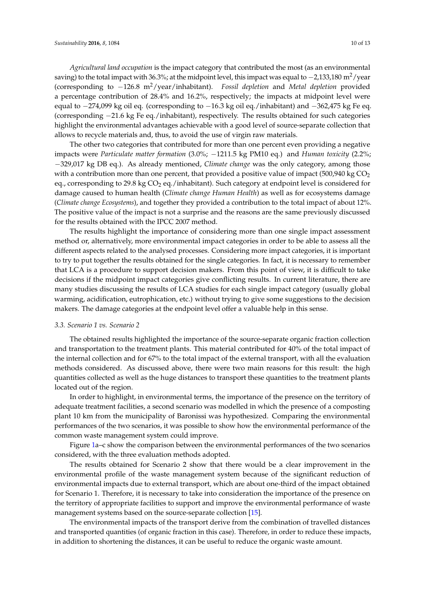*Agricultural land occupation* is the impact category that contributed the most (as an environmental saving) to the total impact with 36.3%; at the midpoint level, this impact was equal to  $-2.133.180 \text{ m}^2/\text{year}$ (corresponding to −126.8 m2/year/inhabitant). *Fossil depletion* and *Metal depletion* provided a percentage contribution of 28.4% and 16.2%, respectively; the impacts at midpoint level were equal to −274,099 kg oil eq. (corresponding to −16.3 kg oil eq./inhabitant) and −362,475 kg Fe eq. (corresponding −21.6 kg Fe eq./inhabitant), respectively. The results obtained for such categories highlight the environmental advantages achievable with a good level of source-separate collection that allows to recycle materials and, thus, to avoid the use of virgin raw materials.

The other two categories that contributed for more than one percent even providing a negative impacts were *Particulate matter formation* (3.0%; −1211.5 kg PM10 eq.) and *Human toxicity* (2.2%; −329,017 kg DB eq.). As already mentioned, *Climate change* was the only category, among those with a contribution more than one percent, that provided a positive value of impact (500,940 kg  $CO<sub>2</sub>$ ) eq., corresponding to 29.8 kg CO<sub>2</sub> eq./inhabitant). Such category at endpoint level is considered for damage caused to human health (*Climate change Human Health*) as well as for ecosystems damage (*Climate change Ecosystems*), and together they provided a contribution to the total impact of about 12%. The positive value of the impact is not a surprise and the reasons are the same previously discussed for the results obtained with the IPCC 2007 method.

The results highlight the importance of considering more than one single impact assessment method or, alternatively, more environmental impact categories in order to be able to assess all the different aspects related to the analysed processes. Considering more impact categories, it is important to try to put together the results obtained for the single categories. In fact, it is necessary to remember that LCA is a procedure to support decision makers. From this point of view, it is difficult to take decisions if the midpoint impact categories give conflicting results. In current literature, there are many studies discussing the results of LCA studies for each single impact category (usually global warming, acidification, eutrophication, etc.) without trying to give some suggestions to the decision makers. The damage categories at the endpoint level offer a valuable help in this sense.

#### *3.3. Scenario 1 vs. Scenario 2*

The obtained results highlighted the importance of the source-separate organic fraction collection and transportation to the treatment plants. This material contributed for 40% of the total impact of the internal collection and for 67% to the total impact of the external transport, with all the evaluation methods considered. As discussed above, there were two main reasons for this result: the high quantities collected as well as the huge distances to transport these quantities to the treatment plants located out of the region.

In order to highlight, in environmental terms, the importance of the presence on the territory of adequate treatment facilities, a second scenario was modelled in which the presence of a composting plant 10 km from the municipality of Baronissi was hypothesized. Comparing the environmental performances of the two scenarios, it was possible to show how the environmental performance of the common waste management system could improve.

Figure [1a](#page-10-0)–c show the comparison between the environmental performances of the two scenarios considered, with the three evaluation methods adopted.

The results obtained for Scenario 2 show that there would be a clear improvement in the environmental profile of the waste management system because of the significant reduction of environmental impacts due to external transport, which are about one-third of the impact obtained for Scenario 1. Therefore, it is necessary to take into consideration the importance of the presence on the territory of appropriate facilities to support and improve the environmental performance of waste management systems based on the source-separate collection [\[15\]](#page-12-3).

The environmental impacts of the transport derive from the combination of travelled distances and transported quantities (of organic fraction in this case). Therefore, in order to reduce these impacts, in addition to shortening the distances, it can be useful to reduce the organic waste amount.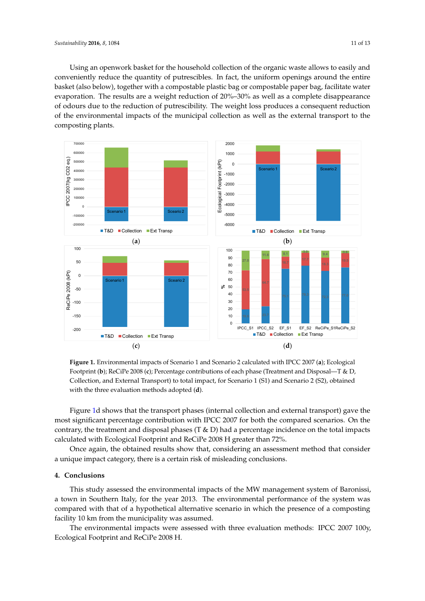Using an openwork basket for the household collection of the organic waste allows to easily and conveniently reduce the quantity of putrescibles. In fact, the uniform openings around the entire basket (also below), together with a compostable plastic bag or compostable paper bag, facilitate water evaporation. The results are a weight reduction of 20%–30% as well as a complete disappearance of odours due to the reduction of putrescibility. The weight loss produces a consequent reduction of the environmental impacts of the municipal collection as well as the external transport to the composting plants. plants.

<span id="page-10-0"></span>



Figure [1d](#page-10-0) shows that the transport phases (internal collection and external transport) gave the most significant percentage contribution with IPCC 2007 for both the compared scenarios. On the contrary, the treatment and disposal phases (T & D) had a percentage incidence on the total impacts calculated with Ecological Footprint and ReCiPe 2008 H greater than 72%.

Once again, the obtained results show that, considering an assessment method that consider a unique impact category, there is a certain risk of misleading conclusions.

#### This study assessed the environmental impact system of the MW management system of  $B$ **4. Conclusions**

This study assessed the environmental impacts of the MW management system of Baronissi, a town in Southern Italy, for the year 2013. The environmental performance of the system was compared with that of a hypothetical alternative scenario in which the presence of a composting facility 10 km from the municipality was assumed.

The environmental impacts were assessed with three evaluation methods: IPCC 2007 100y, Ecological Footprint and ReCiPe 2008 H.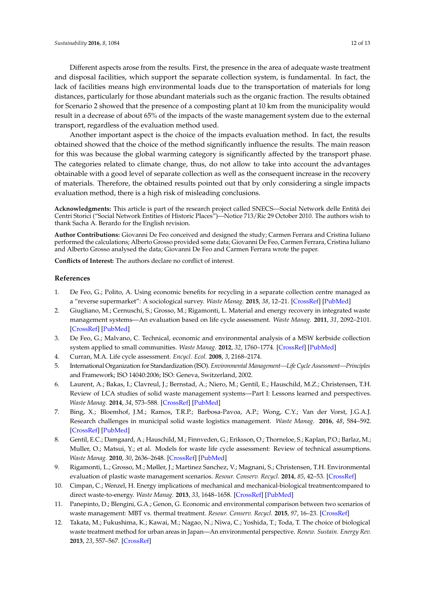Different aspects arose from the results. First, the presence in the area of adequate waste treatment and disposal facilities, which support the separate collection system, is fundamental. In fact, the lack of facilities means high environmental loads due to the transportation of materials for long distances, particularly for those abundant materials such as the organic fraction. The results obtained for Scenario 2 showed that the presence of a composting plant at 10 km from the municipality would result in a decrease of about 65% of the impacts of the waste management system due to the external transport, regardless of the evaluation method used.

Another important aspect is the choice of the impacts evaluation method. In fact, the results obtained showed that the choice of the method significantly influence the results. The main reason for this was because the global warming category is significantly affected by the transport phase. The categories related to climate change, thus, do not allow to take into account the advantages obtainable with a good level of separate collection as well as the consequent increase in the recovery of materials. Therefore, the obtained results pointed out that by only considering a single impacts evaluation method, there is a high risk of misleading conclusions.

**Acknowledgments:** This article is part of the research project called SNECS—Social Network delle Entità dei Centri Storici ("Social Network Entities of Historic Places")—Notice 713/Ric 29 October 2010. The authors wish to thank Sacha A. Berardo for the English revision.

**Author Contributions:** Giovanni De Feo conceived and designed the study; Carmen Ferrara and Cristina Iuliano performed the calculations; Alberto Grosso provided some data; Giovanni De Feo, Carmen Ferrara, Cristina Iuliano and Alberto Grosso analysed the data; Giovanni De Feo and Carmen Ferrara wrote the paper.

**Conflicts of Interest:** The authors declare no conflict of interest.

#### **References**

- <span id="page-11-0"></span>1. De Feo, G.; Polito, A. Using economic benefits for recycling in a separate collection centre managed as a "reverse supermarket": A sociological survey. *Waste Manag.* **2015**, *38*, 12–21. [\[CrossRef\]](http://dx.doi.org/10.1016/j.wasman.2015.01.029) [\[PubMed\]](http://www.ncbi.nlm.nih.gov/pubmed/25681946)
- <span id="page-11-1"></span>2. Giugliano, M.; Cernuschi, S.; Grosso, M.; Rigamonti, L. Material and energy recovery in integrated waste management systems—An evaluation based on life cycle assessment. *Waste Manag.* **2011**, *31*, 2092–2101. [\[CrossRef\]](http://dx.doi.org/10.1016/j.wasman.2011.02.029) [\[PubMed\]](http://www.ncbi.nlm.nih.gov/pubmed/21482096)
- <span id="page-11-2"></span>3. De Feo, G.; Malvano, C. Technical, economic and environmental analysis of a MSW kerbside collection system applied to small communities. *Waste Manag.* **2012**, *32*, 1760–1774. [\[CrossRef\]](http://dx.doi.org/10.1016/j.wasman.2012.05.009) [\[PubMed\]](http://www.ncbi.nlm.nih.gov/pubmed/22677016)
- <span id="page-11-3"></span>4. Curran, M.A. Life cycle assessment. *Encycl. Ecol.* **2008**, *3*, 2168–2174.
- <span id="page-11-4"></span>5. International Organization for Standardization (ISO). *Environmental Management—Life Cycle Assessment—Principles* and Framework; ISO 14040:2006; ISO: Geneva, Switzerland, 2002.
- <span id="page-11-5"></span>6. Laurent, A.; Bakas, I.; Clavreul, J.; Bernstad, A.; Niero, M.; Gentil, E.; Hauschild, M.Z.; Christensen, T.H. Review of LCA studies of solid waste management systems—Part I: Lessons learned and perspectives. *Waste Manag.* **2014**, *34*, 573–588. [\[CrossRef\]](http://dx.doi.org/10.1016/j.wasman.2013.10.045) [\[PubMed\]](http://www.ncbi.nlm.nih.gov/pubmed/24369845)
- <span id="page-11-6"></span>7. Bing, X.; Bloemhof, J.M.; Ramos, T.R.P.; Barbosa-Pavoa, A.P.; Wong, C.Y.; Van der Vorst, J.G.A.J. Research challenges in municipal solid waste logistics management. *Waste Manag.* **2016**, *48*, 584–592. [\[CrossRef\]](http://dx.doi.org/10.1016/j.wasman.2015.11.025) [\[PubMed\]](http://www.ncbi.nlm.nih.gov/pubmed/26704064)
- <span id="page-11-7"></span>8. Gentil, E.C.; Damgaard, A.; Hauschild, M.; Finnveden, G.; Eriksson, O.; Thorneloe, S.; Kaplan, P.O.; Barlaz, M.; Muller, O.; Matsui, Y.; et al. Models for waste life cycle assessment: Review of technical assumptions. *Waste Manag.* **2010**, *30*, 2636–2648. [\[CrossRef\]](http://dx.doi.org/10.1016/j.wasman.2010.06.004) [\[PubMed\]](http://www.ncbi.nlm.nih.gov/pubmed/20599370)
- <span id="page-11-8"></span>9. Rigamonti, L.; Grosso, M.; Møller, J.; Martinez Sanchez, V.; Magnani, S.; Christensen, T.H. Environmental evaluation of plastic waste management scenarios. *Resour. Conserv. Recycl.* **2014**, *85*, 42–53. [\[CrossRef\]](http://dx.doi.org/10.1016/j.resconrec.2013.12.012)
- <span id="page-11-9"></span>10. Cimpan, C.; Wenzel, H. Energy implications of mechanical and mechanical-biological treatmentcompared to direct waste-to-energy. *Waste Manag.* **2013**, *33*, 1648–1658. [\[CrossRef\]](http://dx.doi.org/10.1016/j.wasman.2013.03.026) [\[PubMed\]](http://www.ncbi.nlm.nih.gov/pubmed/23660494)
- <span id="page-11-10"></span>11. Panepinto, D.; Blengini, G.A.; Genon, G. Economic and environmental comparison between two scenarios of waste management: MBT vs. thermal treatment. *Resour. Conserv. Recycl.* **2015**, *97*, 16–23. [\[CrossRef\]](http://dx.doi.org/10.1016/j.resconrec.2015.02.002)
- <span id="page-11-11"></span>12. Takata, M.; Fukushima, K.; Kawai, M.; Nagao, N.; Niwa, C.; Yoshida, T.; Toda, T. The choice of biological waste treatment method for urban areas in Japan—An environmental perspective. *Renew. Sustain. Energy Rev.* **2013**, *23*, 557–567. [\[CrossRef\]](http://dx.doi.org/10.1016/j.rser.2013.02.043)